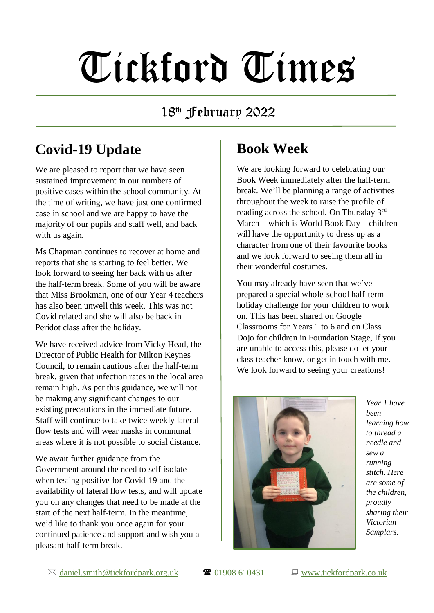# Tickford Times

18 th February 2022

## **Covid-19 Update**

We are pleased to report that we have seen sustained improvement in our numbers of positive cases within the school community. At the time of writing, we have just one confirmed case in school and we are happy to have the majority of our pupils and staff well, and back with us again.

Ms Chapman continues to recover at home and reports that she is starting to feel better. We look forward to seeing her back with us after the half-term break. Some of you will be aware that Miss Brookman, one of our Year 4 teachers has also been unwell this week. This was not Covid related and she will also be back in Peridot class after the holiday.

We have received advice from Vicky Head, the Director of Public Health for Milton Keynes Council, to remain cautious after the half-term break, given that infection rates in the local area remain high. As per this guidance, we will not be making any significant changes to our existing precautions in the immediate future. Staff will continue to take twice weekly lateral flow tests and will wear masks in communal areas where it is not possible to social distance.

We await further guidance from the Government around the need to self-isolate when testing positive for Covid-19 and the availability of lateral flow tests, and will update you on any changes that need to be made at the start of the next half-term. In the meantime, we'd like to thank you once again for your continued patience and support and wish you a pleasant half-term break.

#### **Book Week**

We are looking forward to celebrating our Book Week immediately after the half-term break. We'll be planning a range of activities throughout the week to raise the profile of reading across the school. On Thursday 3rd March – which is World Book Day – children will have the opportunity to dress up as a character from one of their favourite books and we look forward to seeing them all in their wonderful costumes.

You may already have seen that we've prepared a special whole-school half-term holiday challenge for your children to work on. This has been shared on Google Classrooms for Years 1 to 6 and on Class Dojo for children in Foundation Stage, If you are unable to access this, please do let your class teacher know, or get in touch with me. We look forward to seeing your creations!



*Year 1 have been learning how to thread a needle and sew a running stitch. Here are some of the children, proudly sharing their Victorian Samplars.*